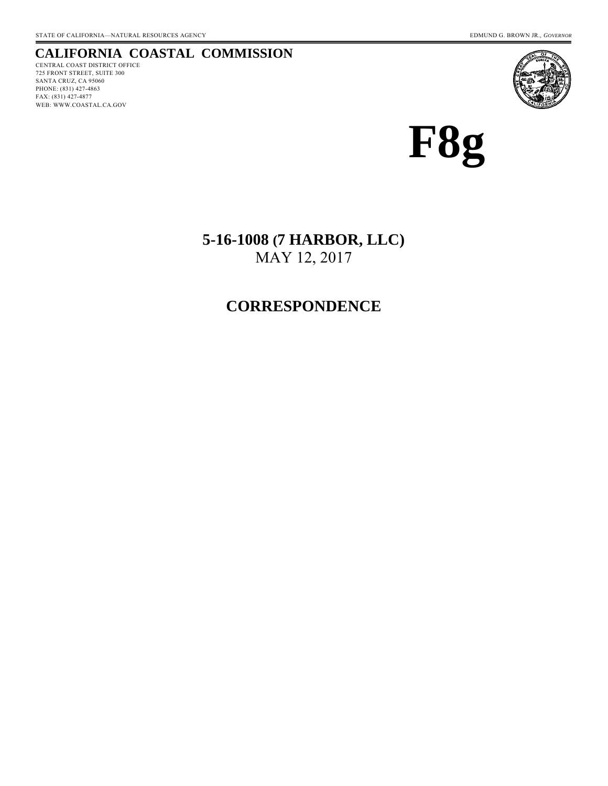## **CALIFORNIA COASTAL COMMISSION**

CENTRAL COAST DISTRICT OFFICE 725 FRONT STREET, SUITE 300 SANTA CRUZ, CA 95060 PHONE: (831) 427-4863 FAX: (831) 427-4877 WEB: WWW.COASTAL.CA.GOV





**5-16-1008 (7 HARBOR, LLC)**  MAY 12, 2017

## **CORRESPONDENCE**